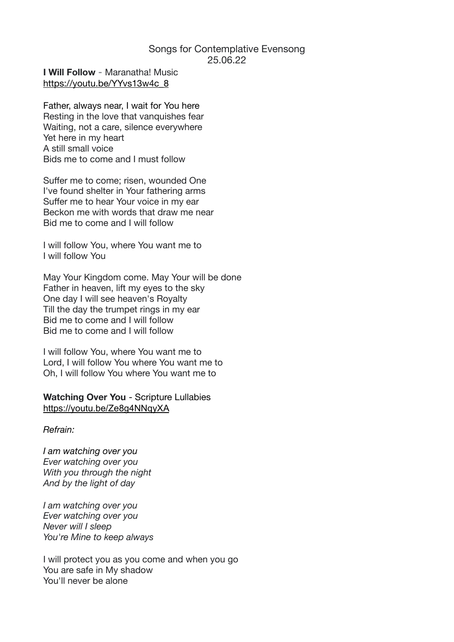## Songs for Contemplative Evensong 25.06.22

**I Will Follow** - [Maranatha! Music](https://www.google.com.au/search?client=safari&q=Maranatha!+Music&stick=H4sIAAAAAAAAAONgVuLSz9U3MMzNSI-PX8Qq4JtYlJiXWJKRqKjgW1qcmQwAUYUMzSEAAAA&sa=X&ved=2ahUKEwjWrNCPhLv4AhXt8zgGHWXwBdcQMXoECAgQAw) [https://youtu.be/YYvs13w4c\\_8](https://youtu.be/YYvs13w4c_8)

Father, always near, I wait for You here Resting in the love that vanquishes fear Waiting, not a care, silence everywhere Yet here in my heart A still small voice Bids me to come and I must follow

Suffer me to come; risen, wounded One I've found shelter in Your fathering arms Suffer me to hear Your voice in my ear Beckon me with words that draw me near Bid me to come and I will follow

I will follow You, where You want me to I will follow You

May Your Kingdom come. May Your will be done Father in heaven, lift my eyes to the sky One day I will see heaven's Royalty Till the day the trumpet rings in my ear Bid me to come and I will follow Bid me to come and I will follow

I will follow You, where You want me to Lord, I will follow You where You want me to Oh, I will follow You where You want me to

**Watching Over You** - Scripture Lullabies <https://youtu.be/Ze8g4NNqyXA>

*Refrain:* 

*I am watching over you Ever watching over you With you through the night And by the light of day* 

*I am watching over you Ever watching over you Never will I sleep You're Mine to keep always* 

I will protect you as you come and when you go You are safe in My shadow You'll never be alone